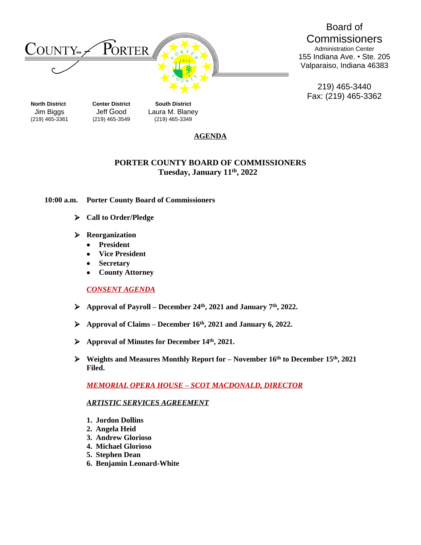

Board of **Commissioners** Administration Center 155 Indiana Ave. • Ste. 205 Valparaiso, Indiana 46383

219) 465-3440 Fax: (219) 465-3362

Jim Biggs Jeff Good Laura M. Blaney (219) 465-3361 (219) 465-3549 (219) 465-3349

## **AGENDA**

## **PORTER COUNTY BOARD OF COMMISSIONERS Tuesday, January 11 th , 2022**

### **10:00 a.m. Porter County Board of Commissioners**

- **Call to Order/Pledge**
- **Reorganization**
	- **President**
	- **Vice President**
	- **Secretary**
	- **County Attorney**

## *CONSENT AGENDA*

- **Approval of Payroll – December 24th , 2021 and January 7th, 2022.**
- **Approval of Claims – December 16th, 2021 and January 6, 2022.**
- **Approval of Minutes for December 14th, 2021.**
- **Weights and Measures Monthly Report for – November 16th to December 15th, 2021 Filed.**

*MEMORIAL OPERA HOUSE – SCOT MACDONALD, DIRECTOR*

#### *ARTISTIC SERVICES AGREEMENT*

- **1. Jordon Dollins**
- **2. Angela Heid**
- **3. Andrew Glorioso**
- **4. Michael Glorioso**
- **5. Stephen Dean**
- **6. Benjamin Leonard-White**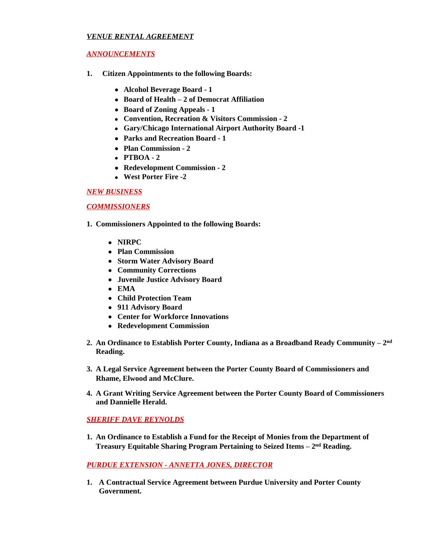### *VENUE RENTAL AGREEMENT*

### *ANNOUNCEMENTS*

- **1. Citizen Appointments to the following Boards:**
	- **Alcohol Beverage Board 1**
	- **Board of Health – 2 of Democrat Affiliation**
	- **Board of Zoning Appeals 1**
	- **Convention, Recreation & Visitors Commission 2**
	- **Gary/Chicago International Airport Authority Board -1**
	- **Parks and Recreation Board 1**
	- **Plan Commission 2**
	- **PTBOA 2**
	- **Redevelopment Commission - 2**
	- **West Porter Fire -2**

### *NEW BUSINESS*

### *COMMISSIONERS*

- **1. Commissioners Appointed to the following Boards:**
	- **NIRPC**
	- **Plan Commission**
	- **Storm Water Advisory Board**
	- **Community Corrections**
	- **Juvenile Justice Advisory Board**
	- **EMA**
	- **Child Protection Team**
	- **911 Advisory Board**
	- **Center for Workforce Innovations**
	- **Redevelopment Commission**
- **2. An Ordinance to Establish Porter County, Indiana as a Broadband Ready Community – 2 nd Reading.**
- **3. A Legal Service Agreement between the Porter County Board of Commissioners and Rhame, Elwood and McClure.**
- **4. A Grant Writing Service Agreement between the Porter County Board of Commissioners and Dannielle Herald.**

## *SHERIFF DAVE REYNOLDS*

**1. An Ordinance to Establish a Fund for the Receipt of Monies from the Department of Treasury Equitable Sharing Program Pertaining to Seized Items – 2 nd Reading.**

## *PURDUE EXTENSION - ANNETTA JONES, DIRECTOR*

**1. A Contractual Service Agreement between Purdue University and Porter County Government.**